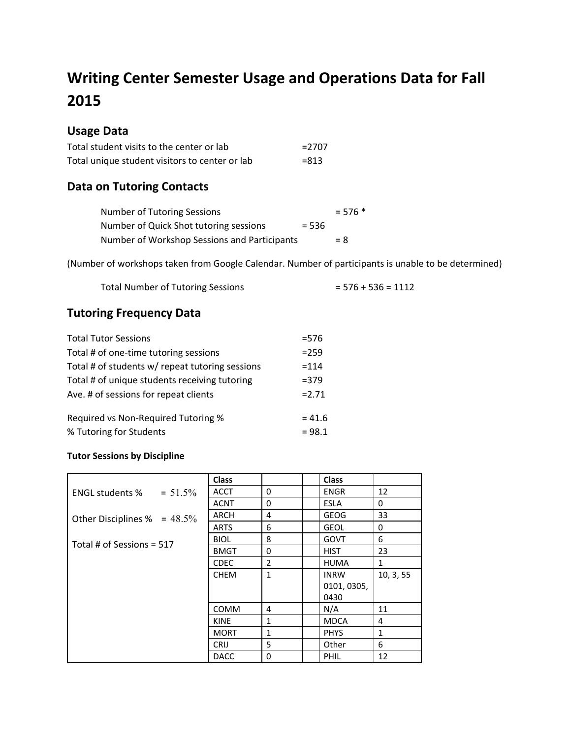# **Writing Center Semester Usage and Operations Data for Fall 2015**

### **Usage Data**

| Total student visits to the center or lab      | $= 2707$ |
|------------------------------------------------|----------|
| Total unique student visitors to center or lab | $= 813$  |

### **Data on Tutoring Contacts**

| Number of Tutoring Sessions                  |         | $= 576$ * |
|----------------------------------------------|---------|-----------|
| Number of Quick Shot tutoring sessions       | $= 536$ |           |
| Number of Workshop Sessions and Participants |         | $= 8$     |

(Number of workshops taken from Google Calendar. Number of participants is unable to be determined)

| <b>Total Number of Tutoring Sessions</b> | $= 576 + 536 = 1112$ |
|------------------------------------------|----------------------|
|------------------------------------------|----------------------|

#### **Tutoring Frequency Data**

| $= 576$  |
|----------|
| $= 259$  |
| $=114$   |
| $= 379$  |
| $= 2.71$ |
| $= 41.6$ |
| $= 98.1$ |
|          |

#### **Tutor Sessions by Discipline**

|                                      | <b>Class</b> |                | <b>Class</b> |              |
|--------------------------------------|--------------|----------------|--------------|--------------|
| $= 51.5\%$<br><b>ENGL students %</b> | <b>ACCT</b>  | $\Omega$       | <b>ENGR</b>  | 12           |
|                                      | <b>ACNT</b>  | 0              | <b>ESLA</b>  | 0            |
| Other Disciplines $% = 48.5\%$       | <b>ARCH</b>  | 4              | <b>GEOG</b>  | 33           |
|                                      | <b>ARTS</b>  | 6              | <b>GEOL</b>  | 0            |
| Total # of Sessions = $517$          | <b>BIOL</b>  | 8              | GOVT         | 6            |
|                                      | <b>BMGT</b>  | 0              | <b>HIST</b>  | 23           |
|                                      | <b>CDEC</b>  | $\overline{2}$ | <b>HUMA</b>  | $\mathbf{1}$ |
|                                      | <b>CHEM</b>  | $\mathbf{1}$   | <b>INRW</b>  | 10, 3, 55    |
|                                      |              |                | 0101, 0305,  |              |
|                                      |              |                | 0430         |              |
|                                      | <b>COMM</b>  | 4              | N/A          | 11           |
|                                      | <b>KINE</b>  | $\mathbf{1}$   | <b>MDCA</b>  | 4            |
|                                      | <b>MORT</b>  | $\mathbf{1}$   | <b>PHYS</b>  | $\mathbf{1}$ |
|                                      | <b>CRIJ</b>  | 5              | Other        | 6            |
|                                      | <b>DACC</b>  | $\Omega$       | PHIL         | 12           |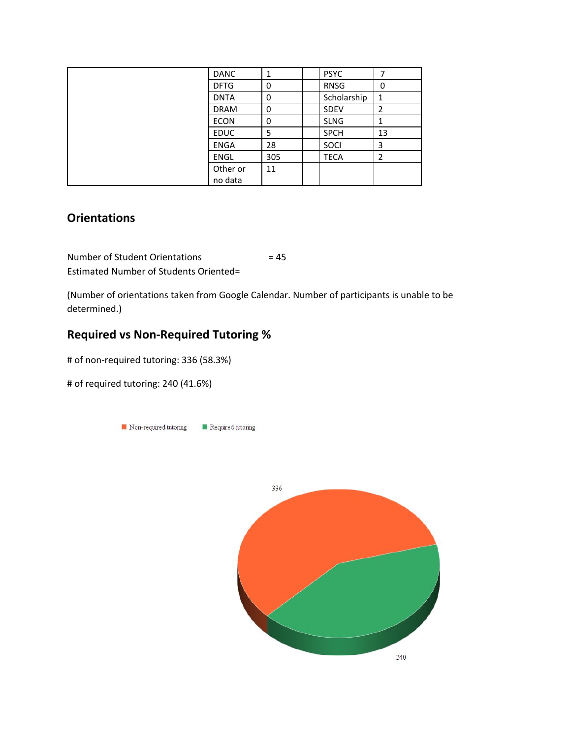| <b>DANC</b> | 1   | <b>PSYC</b> | 7  |
|-------------|-----|-------------|----|
| <b>DFTG</b> | 0   | <b>RNSG</b> | 0  |
| <b>DNTA</b> | 0   | Scholarship | 1  |
| <b>DRAM</b> | 0   | <b>SDEV</b> | 2  |
| <b>ECON</b> | 0   | <b>SLNG</b> | 1  |
| <b>EDUC</b> | 5   | <b>SPCH</b> | 13 |
| <b>ENGA</b> | 28  | SOCI        | 3  |
| <b>ENGL</b> | 305 | <b>TECA</b> | 2  |
| Other or    | 11  |             |    |
| no data     |     |             |    |

### **Orientations**

Number of Student Orientations = 45 Estimated Number of Students Oriented=

(Number of orientations taken from Google Calendar. Number of participants is unable to be determined.)

### **Required vs Non-Required Tutoring %**

# of non-required tutoring: 336 (58.3%)

# of required tutoring: 240 (41.6%)



 $240$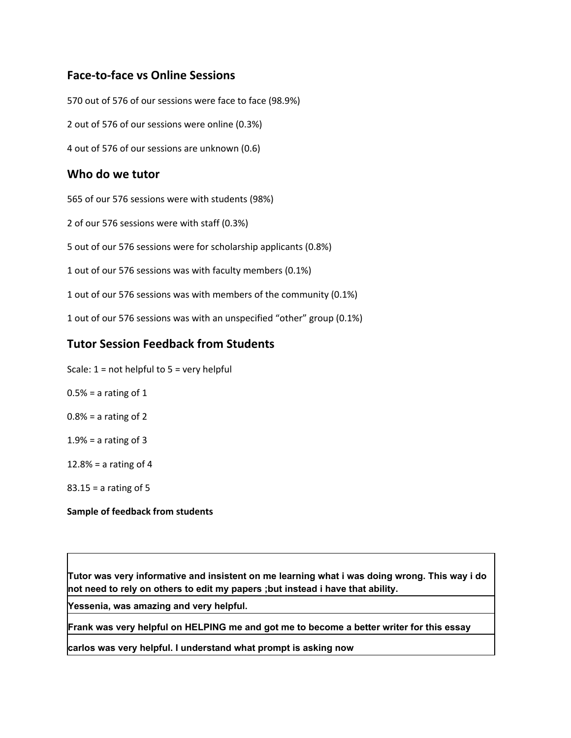#### **Face-to-face vs Online Sessions**

570 out of 576 of our sessions were face to face (98.9%) 2 out of 576 of our sessions were online (0.3%) 4 out of 576 of our sessions are unknown (0.6)

#### **Who do we tutor**

565 of our 576 sessions were with students (98%)

2 of our 576 sessions were with staff (0.3%)

5 out of our 576 sessions were for scholarship applicants (0.8%)

1 out of our 576 sessions was with faculty members (0.1%)

1 out of our 576 sessions was with members of the community (0.1%)

1 out of our 576 sessions was with an unspecified "other" group (0.1%)

#### **Tutor Session Feedback from Students**

- Scale:  $1 = not helpful to 5 = very helpful$
- $0.5% = a$  rating of 1
- $0.8\%$  = a rating of 2
- $1.9% = a$  rating of 3
- $12.8% = a$  rating of 4
- 83.15 = a rating of 5

#### **Sample of feedback from students**

**Tutor was very informative and insistent on me learning what i was doing wrong. This way i do not need to rely on others to edit my papers ;but instead i have that ability.**

**Yessenia, was amazing and very helpful.**

**Frank was very helpful on HELPING me and got me to become a better writer for this essay**

**carlos was very helpful. I understand what prompt is asking now**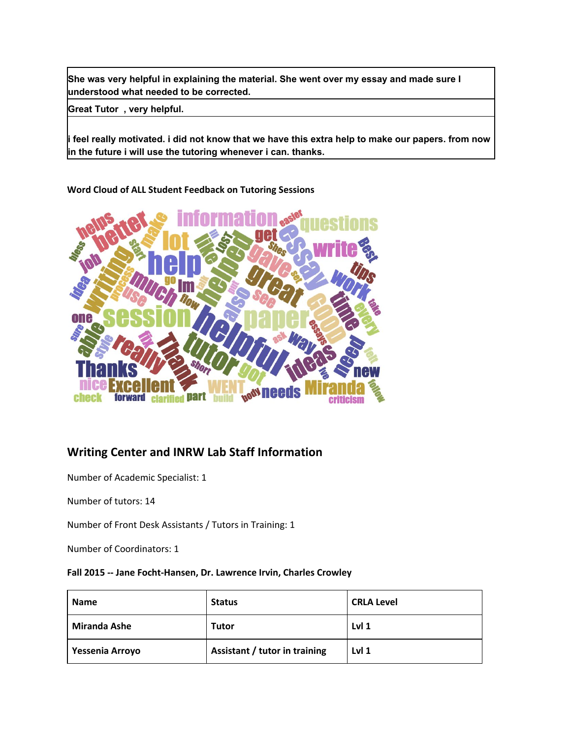**She was very helpful in explaining the material. She went over my essay and made sure I understood what needed to be corrected.**

**Great Tutor , very helpful.**

 $\vert$ i feel really motivated. i did not know that we have this extra help to make our papers. from now **in the future i will use the tutoring whenever i can. thanks.**

#### **Word Cloud of ALL Student Feedback on Tutoring Sessions**



### **Writing Center and INRW Lab Staff Information**

Number of Academic Specialist: 1

Number of tutors: 14

Number of Front Desk Assistants / Tutors in Training: 1

Number of Coordinators: 1

#### **Fall 2015 -- Jane Focht-Hansen, Dr. Lawrence Irvin, Charles Crowley**

| <b>Name</b>         | <b>Status</b>                 | <b>CRLA Level</b> |
|---------------------|-------------------------------|-------------------|
| <b>Miranda Ashe</b> | Tutor                         | Lvl <sub>1</sub>  |
| Yessenia Arroyo     | Assistant / tutor in training | Lvl <sub>1</sub>  |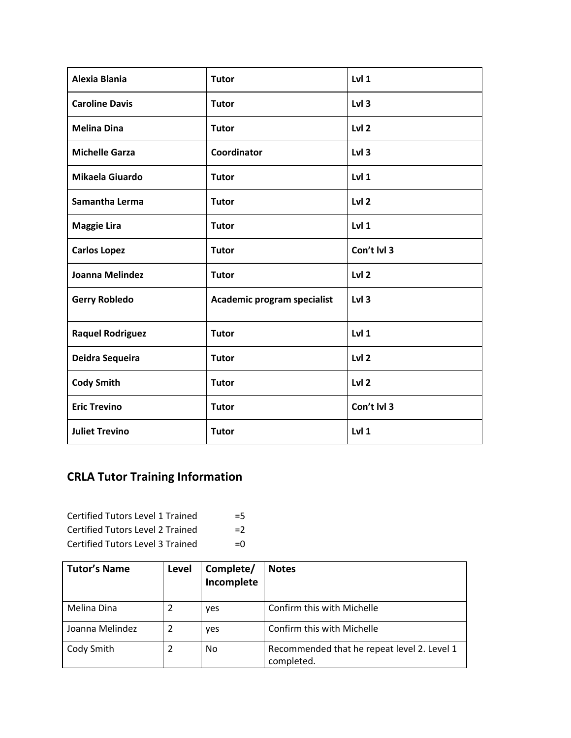| <b>Alexia Blania</b>    | <b>Tutor</b>                | Lvl <sub>1</sub> |
|-------------------------|-----------------------------|------------------|
| <b>Caroline Davis</b>   | <b>Tutor</b>                | Lvl <sub>3</sub> |
| <b>Melina Dina</b>      | <b>Tutor</b>                | Lvl <sub>2</sub> |
| <b>Michelle Garza</b>   | Coordinator                 | Lvl 3            |
| Mikaela Giuardo         | <b>Tutor</b>                | Lvl <sub>1</sub> |
| Samantha Lerma          | <b>Tutor</b>                | Lvl <sub>2</sub> |
| <b>Maggie Lira</b>      | <b>Tutor</b>                | Lvl 1            |
| <b>Carlos Lopez</b>     | <b>Tutor</b>                | Con't lvl 3      |
| Joanna Melindez         | <b>Tutor</b>                | Lvl <sub>2</sub> |
| <b>Gerry Robledo</b>    | Academic program specialist | Lvl <sub>3</sub> |
| <b>Raquel Rodriguez</b> | <b>Tutor</b>                | Lvl <sub>1</sub> |
| Deidra Sequeira         | <b>Tutor</b>                | Lvl <sub>2</sub> |
| <b>Cody Smith</b>       | <b>Tutor</b>                | Lvl 2            |
| <b>Eric Trevino</b>     | <b>Tutor</b>                | Con't lvl 3      |
| <b>Juliet Trevino</b>   | <b>Tutor</b>                | Lvl <sub>1</sub> |

## **CRLA Tutor Training Information**

| <b>Certified Tutors Level 1 Trained</b> | $=5$         |
|-----------------------------------------|--------------|
| <b>Certified Tutors Level 2 Trained</b> | $=2$         |
| Certified Tutors Level 3 Trained        | $=$ $\Omega$ |

| <b>Tutor's Name</b> | Level | Complete/<br>Incomplete | <b>Notes</b>                                              |
|---------------------|-------|-------------------------|-----------------------------------------------------------|
| Melina Dina         |       | yes                     | Confirm this with Michelle                                |
| Joanna Melindez     |       | yes                     | Confirm this with Michelle                                |
| Cody Smith          |       | No.                     | Recommended that he repeat level 2. Level 1<br>completed. |